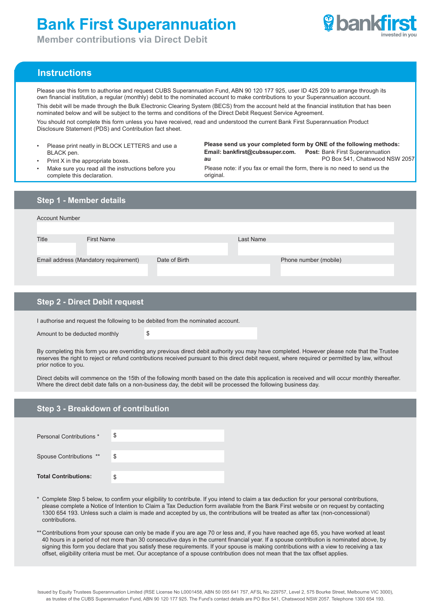# **Bank First Superannuation**



**Member contributions via Direct Debit**

# **Instructions**

Please use this form to authorise and request CUBS Superannuation Fund, ABN 90 120 177 925, user ID 425 209 to arrange through its own financial institution, a regular (monthly) debit to the nominated account to make contributions to your Superannuation account.

This debit will be made through the Bulk Electronic Clearing System (BECS) from the account held at the financial institution that has been nominated below and will be subject to the terms and conditions of the Direct Debit Request Service Agreement.

You should not complete this form unless you have received, read and understood the current Bank First Superannuation Product Disclosure Statement (PDS) and Contribution fact sheet.

- Please print neatly in BLOCK LETTERS and use a BLACK pen.
- Print X in the appropriate boxes.

**Email: bankfirst@cubssuper.com. au Post: Bank First Superannuation**  PO Box 541, Chatswood NSW 2057 **Please send us your completed form by ONE of the following methods:**

- 
- Please note: if you fax or email the form, there is no need to send us the original
- Make sure you read all the instructions before you complete this declaration.

| <b>Step 1 - Member details</b>        |               |                       |  |  |  |
|---------------------------------------|---------------|-----------------------|--|--|--|
| <b>Account Number</b>                 |               |                       |  |  |  |
| <b>Title</b><br><b>First Name</b>     |               | Last Name             |  |  |  |
| Email address (Mandatory requirement) | Date of Birth | Phone number (mobile) |  |  |  |
|                                       |               |                       |  |  |  |

# **Step 2 - Direct Debit request**

I authorise and request the following to be debited from the nominated account.

Amount to be deducted monthly  $\$\$$ 

By completing this form you are overriding any previous direct debit authority you may have completed. However please note that the Trustee reserves the right to reject or refund contributions received pursuant to this direct debit request, where required or permitted by law, without prior notice to you.

Direct debits will commence on the 15th of the following month based on the date this application is received and will occur monthly thereafter. Where the direct debit date falls on a non-business day, the debit will be processed the following business day.

# **Step 3 - Breakdown of contribution**

| Personal Contributions *    | \$ |
|-----------------------------|----|
| Spouse Contributions **     | \$ |
| <b>Total Contributions:</b> | \$ |

- \* Complete Step 5 below, to confirm your eligibility to contribute. If you intend to claim a tax deduction for your personal contributions, please complete a Notice of Intention to Claim a Tax Deduction form available from the Bank First website or on request by contacting 1300 654 193. Unless such a claim is made and accepted by us, the contributions will be treated as after tax (non-concessional) contributions.
- \*\* Contributions from your spouse can only be made if you are age 70 or less and, if you have reached age 65, you have worked at least 40 hours in a period of not more than 30 consecutive days in the current financial year. If a spouse contribution is nominated above, by signing this form you declare that you satisfy these requirements. If your spouse is making contributions with a view to receiving a tax offset, eligibility criteria must be met. Our acceptance of a spouse contribution does not mean that the tax offset applies.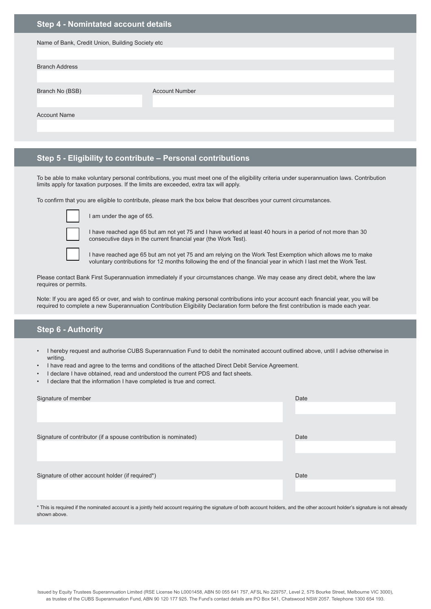# **Step 4 - Nomintated account details**

| Name of Bank, Credit Union, Building Society etc |                       |  |  |
|--------------------------------------------------|-----------------------|--|--|
| <b>Branch Address</b>                            |                       |  |  |
| Branch No (BSB)                                  | <b>Account Number</b> |  |  |
| <b>Account Name</b>                              |                       |  |  |
|                                                  |                       |  |  |

# **Step 5 - Eligibility to contribute – Personal contributions**

To be able to make voluntary personal contributions, you must meet one of the eligibility criteria under superannuation laws. Contribution limits apply for taxation purposes. If the limits are exceeded, extra tax will apply.

To confirm that you are eligible to contribute, please mark the box below that describes your current circumstances.



I am under the age of 65.

I have reached age 65 but am not yet 75 and I have worked at least 40 hours in a period of not more than 30 consecutive days in the current financial year (the Work Test).

I have reached age 65 but am not yet 75 and am relying on the Work Test Exemption which allows me to make voluntary contributions for 12 months following the end of the financial year in which I last met the Work Test.

Please contact Bank First Superannuation immediately if your circumstances change. We may cease any direct debit, where the law requires or permits.

Note: If you are aged 65 or over, and wish to continue making personal contributions into your account each financial year, you will be required to complete a new Superannuation Contribution Eligibility Declaration form before the first contribution is made each year.

#### **Step 6 - Authority**

- I hereby request and authorise CUBS Superannuation Fund to debit the nominated account outlined above, until I advise otherwise in writing.
- I have read and agree to the terms and conditions of the attached Direct Debit Service Agreement.
- I declare I have obtained, read and understood the current PDS and fact sheets.
- I declare that the information I have completed is true and correct.

| Signature of member                                              | Date |  |
|------------------------------------------------------------------|------|--|
|                                                                  |      |  |
|                                                                  |      |  |
|                                                                  |      |  |
| Signature of contributor (if a spouse contribution is nominated) | Date |  |
|                                                                  |      |  |
|                                                                  |      |  |
|                                                                  |      |  |
| Signature of other account holder (if required*)                 | Date |  |
|                                                                  |      |  |
|                                                                  |      |  |
|                                                                  |      |  |

\* This is required if the nominated account is a jointly held account requiring the signature of both account holders, and the other account holder's signature is not already shown above.